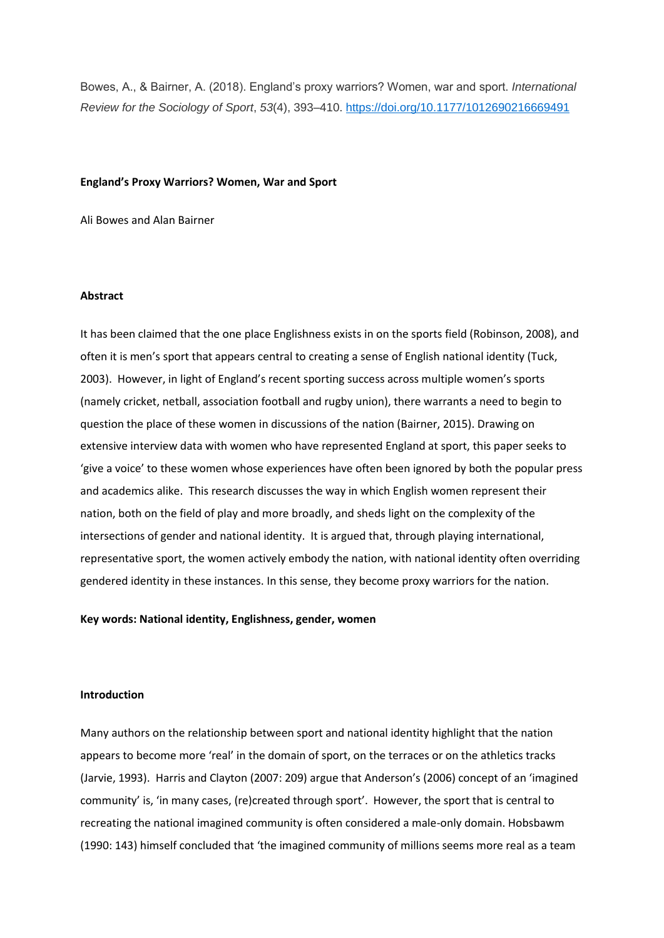Bowes, A., & Bairner, A. (2018). England's proxy warriors? Women, war and sport. *International Review for the Sociology of Sport*, *53*(4), 393–410.<https://doi.org/10.1177/1012690216669491>

### **England's Proxy Warriors? Women, War and Sport**

Ali Bowes and Alan Bairner

### **Abstract**

It has been claimed that the one place Englishness exists in on the sports field (Robinson, 2008), and often it is men's sport that appears central to creating a sense of English national identity (Tuck, 2003). However, in light of England's recent sporting success across multiple women's sports (namely cricket, netball, association football and rugby union), there warrants a need to begin to question the place of these women in discussions of the nation (Bairner, 2015). Drawing on extensive interview data with women who have represented England at sport, this paper seeks to 'give a voice' to these women whose experiences have often been ignored by both the popular press and academics alike. This research discusses the way in which English women represent their nation, both on the field of play and more broadly, and sheds light on the complexity of the intersections of gender and national identity. It is argued that, through playing international, representative sport, the women actively embody the nation, with national identity often overriding gendered identity in these instances. In this sense, they become proxy warriors for the nation.

## **Key words: National identity, Englishness, gender, women**

## **Introduction**

Many authors on the relationship between sport and national identity highlight that the nation appears to become more 'real' in the domain of sport, on the terraces or on the athletics tracks (Jarvie, 1993). Harris and Clayton (2007: 209) argue that Anderson's (2006) concept of an 'imagined community' is, 'in many cases, (re)created through sport'. However, the sport that is central to recreating the national imagined community is often considered a male-only domain. Hobsbawm (1990: 143) himself concluded that 'the imagined community of millions seems more real as a team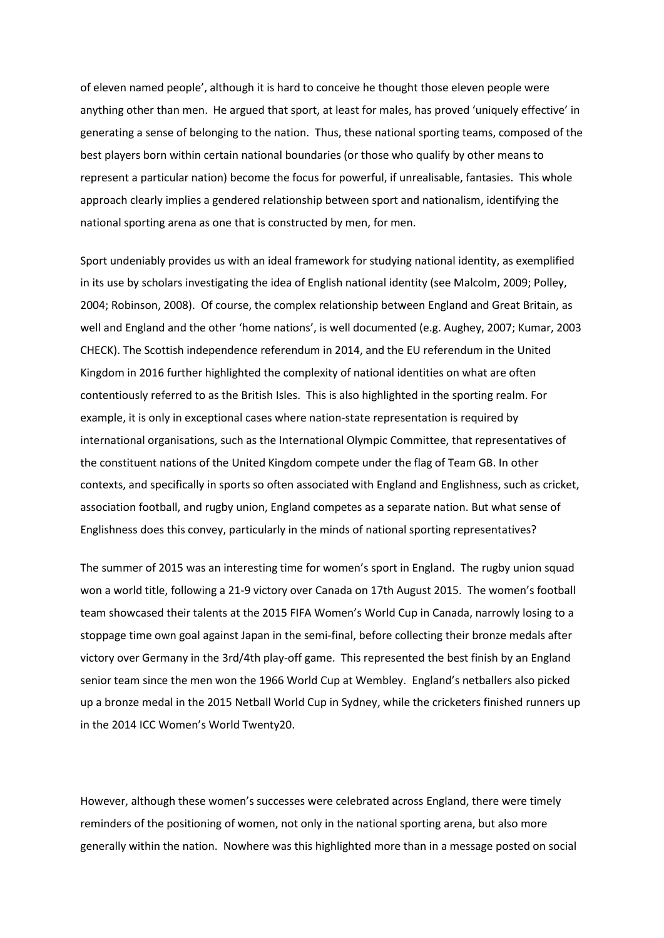of eleven named people', although it is hard to conceive he thought those eleven people were anything other than men. He argued that sport, at least for males, has proved 'uniquely effective' in generating a sense of belonging to the nation. Thus, these national sporting teams, composed of the best players born within certain national boundaries (or those who qualify by other means to represent a particular nation) become the focus for powerful, if unrealisable, fantasies. This whole approach clearly implies a gendered relationship between sport and nationalism, identifying the national sporting arena as one that is constructed by men, for men.

Sport undeniably provides us with an ideal framework for studying national identity, as exemplified in its use by scholars investigating the idea of English national identity (see Malcolm, 2009; Polley, 2004; Robinson, 2008). Of course, the complex relationship between England and Great Britain, as well and England and the other 'home nations', is well documented (e.g. Aughey, 2007; Kumar, 2003 CHECK). The Scottish independence referendum in 2014, and the EU referendum in the United Kingdom in 2016 further highlighted the complexity of national identities on what are often contentiously referred to as the British Isles. This is also highlighted in the sporting realm. For example, it is only in exceptional cases where nation-state representation is required by international organisations, such as the International Olympic Committee, that representatives of the constituent nations of the United Kingdom compete under the flag of Team GB. In other contexts, and specifically in sports so often associated with England and Englishness, such as cricket, association football, and rugby union, England competes as a separate nation. But what sense of Englishness does this convey, particularly in the minds of national sporting representatives?

The summer of 2015 was an interesting time for women's sport in England. The rugby union squad won a world title, following a 21-9 victory over Canada on 17th August 2015. The women's football team showcased their talents at the 2015 FIFA Women's World Cup in Canada, narrowly losing to a stoppage time own goal against Japan in the semi-final, before collecting their bronze medals after victory over Germany in the 3rd/4th play-off game. This represented the best finish by an England senior team since the men won the 1966 World Cup at Wembley. England's netballers also picked up a bronze medal in the 2015 Netball World Cup in Sydney, while the cricketers finished runners up in the 2014 ICC Women's World Twenty20.

However, although these women's successes were celebrated across England, there were timely reminders of the positioning of women, not only in the national sporting arena, but also more generally within the nation. Nowhere was this highlighted more than in a message posted on social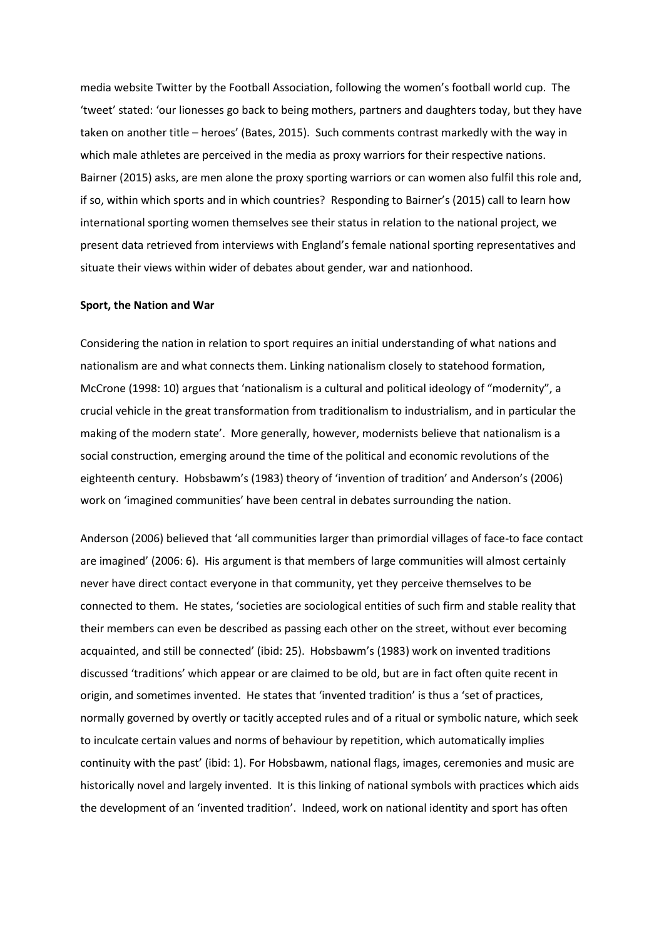media website Twitter by the Football Association, following the women's football world cup. The 'tweet' stated: 'our lionesses go back to being mothers, partners and daughters today, but they have taken on another title – heroes' (Bates, 2015). Such comments contrast markedly with the way in which male athletes are perceived in the media as proxy warriors for their respective nations. Bairner (2015) asks, are men alone the proxy sporting warriors or can women also fulfil this role and, if so, within which sports and in which countries? Responding to Bairner's (2015) call to learn how international sporting women themselves see their status in relation to the national project, we present data retrieved from interviews with England's female national sporting representatives and situate their views within wider of debates about gender, war and nationhood.

#### **Sport, the Nation and War**

Considering the nation in relation to sport requires an initial understanding of what nations and nationalism are and what connects them. Linking nationalism closely to statehood formation, McCrone (1998: 10) argues that 'nationalism is a cultural and political ideology of "modernity", a crucial vehicle in the great transformation from traditionalism to industrialism, and in particular the making of the modern state'. More generally, however, modernists believe that nationalism is a social construction, emerging around the time of the political and economic revolutions of the eighteenth century. Hobsbawm's (1983) theory of 'invention of tradition' and Anderson's (2006) work on 'imagined communities' have been central in debates surrounding the nation.

Anderson (2006) believed that 'all communities larger than primordial villages of face-to face contact are imagined' (2006: 6). His argument is that members of large communities will almost certainly never have direct contact everyone in that community, yet they perceive themselves to be connected to them. He states, 'societies are sociological entities of such firm and stable reality that their members can even be described as passing each other on the street, without ever becoming acquainted, and still be connected' (ibid: 25). Hobsbawm's (1983) work on invented traditions discussed 'traditions' which appear or are claimed to be old, but are in fact often quite recent in origin, and sometimes invented. He states that 'invented tradition' is thus a 'set of practices, normally governed by overtly or tacitly accepted rules and of a ritual or symbolic nature, which seek to inculcate certain values and norms of behaviour by repetition, which automatically implies continuity with the past' (ibid: 1). For Hobsbawm, national flags, images, ceremonies and music are historically novel and largely invented. It is this linking of national symbols with practices which aids the development of an 'invented tradition'. Indeed, work on national identity and sport has often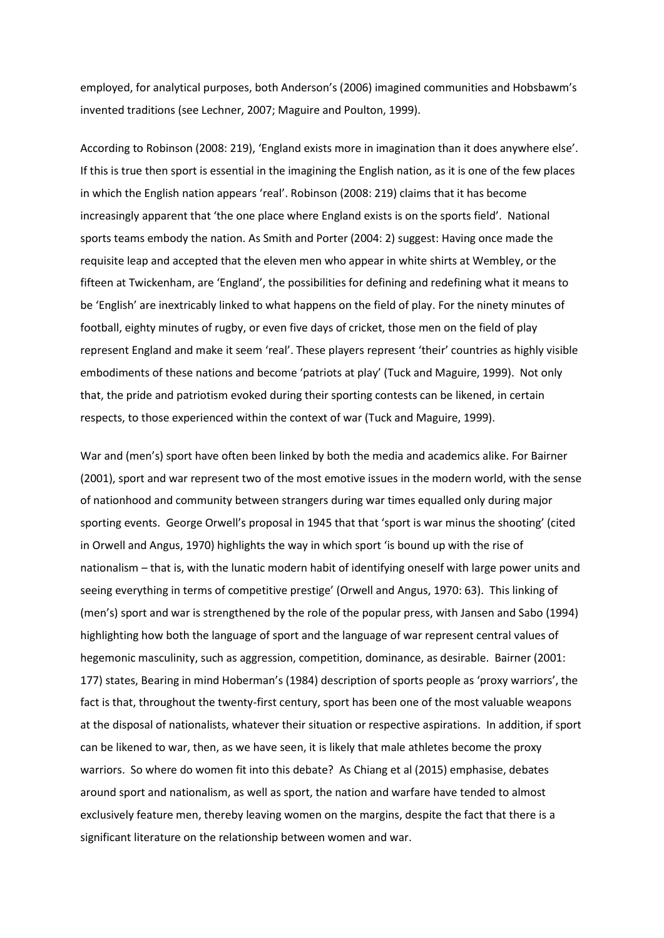employed, for analytical purposes, both Anderson's (2006) imagined communities and Hobsbawm's invented traditions (see Lechner, 2007; Maguire and Poulton, 1999).

According to Robinson (2008: 219), 'England exists more in imagination than it does anywhere else'. If this is true then sport is essential in the imagining the English nation, as it is one of the few places in which the English nation appears 'real'. Robinson (2008: 219) claims that it has become increasingly apparent that 'the one place where England exists is on the sports field'. National sports teams embody the nation. As Smith and Porter (2004: 2) suggest: Having once made the requisite leap and accepted that the eleven men who appear in white shirts at Wembley, or the fifteen at Twickenham, are 'England', the possibilities for defining and redefining what it means to be 'English' are inextricably linked to what happens on the field of play. For the ninety minutes of football, eighty minutes of rugby, or even five days of cricket, those men on the field of play represent England and make it seem 'real'. These players represent 'their' countries as highly visible embodiments of these nations and become 'patriots at play' (Tuck and Maguire, 1999). Not only that, the pride and patriotism evoked during their sporting contests can be likened, in certain respects, to those experienced within the context of war (Tuck and Maguire, 1999).

War and (men's) sport have often been linked by both the media and academics alike. For Bairner (2001), sport and war represent two of the most emotive issues in the modern world, with the sense of nationhood and community between strangers during war times equalled only during major sporting events. George Orwell's proposal in 1945 that that 'sport is war minus the shooting' (cited in Orwell and Angus, 1970) highlights the way in which sport 'is bound up with the rise of nationalism – that is, with the lunatic modern habit of identifying oneself with large power units and seeing everything in terms of competitive prestige' (Orwell and Angus, 1970: 63). This linking of (men's) sport and war is strengthened by the role of the popular press, with Jansen and Sabo (1994) highlighting how both the language of sport and the language of war represent central values of hegemonic masculinity, such as aggression, competition, dominance, as desirable. Bairner (2001: 177) states, Bearing in mind Hoberman's (1984) description of sports people as 'proxy warriors', the fact is that, throughout the twenty-first century, sport has been one of the most valuable weapons at the disposal of nationalists, whatever their situation or respective aspirations. In addition, if sport can be likened to war, then, as we have seen, it is likely that male athletes become the proxy warriors. So where do women fit into this debate? As Chiang et al (2015) emphasise, debates around sport and nationalism, as well as sport, the nation and warfare have tended to almost exclusively feature men, thereby leaving women on the margins, despite the fact that there is a significant literature on the relationship between women and war.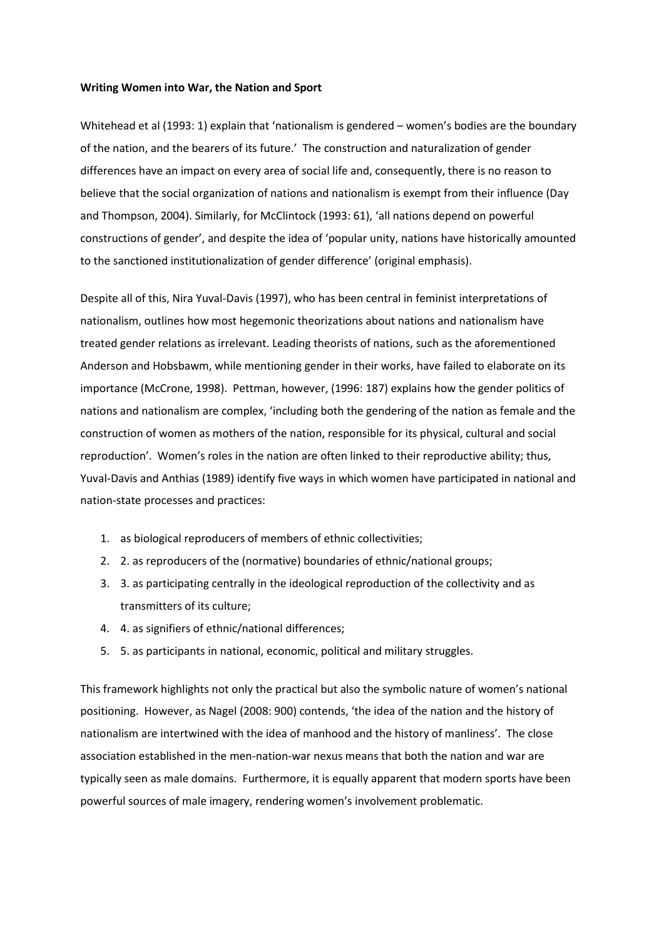### **Writing Women into War, the Nation and Sport**

Whitehead et al (1993: 1) explain that 'nationalism is gendered – women's bodies are the boundary of the nation, and the bearers of its future.' The construction and naturalization of gender differences have an impact on every area of social life and, consequently, there is no reason to believe that the social organization of nations and nationalism is exempt from their influence (Day and Thompson, 2004). Similarly, for McClintock (1993: 61), 'all nations depend on powerful constructions of gender', and despite the idea of 'popular unity, nations have historically amounted to the sanctioned institutionalization of gender difference' (original emphasis).

Despite all of this, Nira Yuval-Davis (1997), who has been central in feminist interpretations of nationalism, outlines how most hegemonic theorizations about nations and nationalism have treated gender relations as irrelevant. Leading theorists of nations, such as the aforementioned Anderson and Hobsbawm, while mentioning gender in their works, have failed to elaborate on its importance (McCrone, 1998). Pettman, however, (1996: 187) explains how the gender politics of nations and nationalism are complex, 'including both the gendering of the nation as female and the construction of women as mothers of the nation, responsible for its physical, cultural and social reproduction'. Women's roles in the nation are often linked to their reproductive ability; thus, Yuval-Davis and Anthias (1989) identify five ways in which women have participated in national and nation-state processes and practices:

- 1. as biological reproducers of members of ethnic collectivities;
- 2. 2. as reproducers of the (normative) boundaries of ethnic/national groups;
- 3. 3. as participating centrally in the ideological reproduction of the collectivity and as transmitters of its culture;
- 4. 4. as signifiers of ethnic/national differences;
- 5. 5. as participants in national, economic, political and military struggles.

This framework highlights not only the practical but also the symbolic nature of women's national positioning. However, as Nagel (2008: 900) contends, 'the idea of the nation and the history of nationalism are intertwined with the idea of manhood and the history of manliness'. The close association established in the men-nation-war nexus means that both the nation and war are typically seen as male domains. Furthermore, it is equally apparent that modern sports have been powerful sources of male imagery, rendering women's involvement problematic.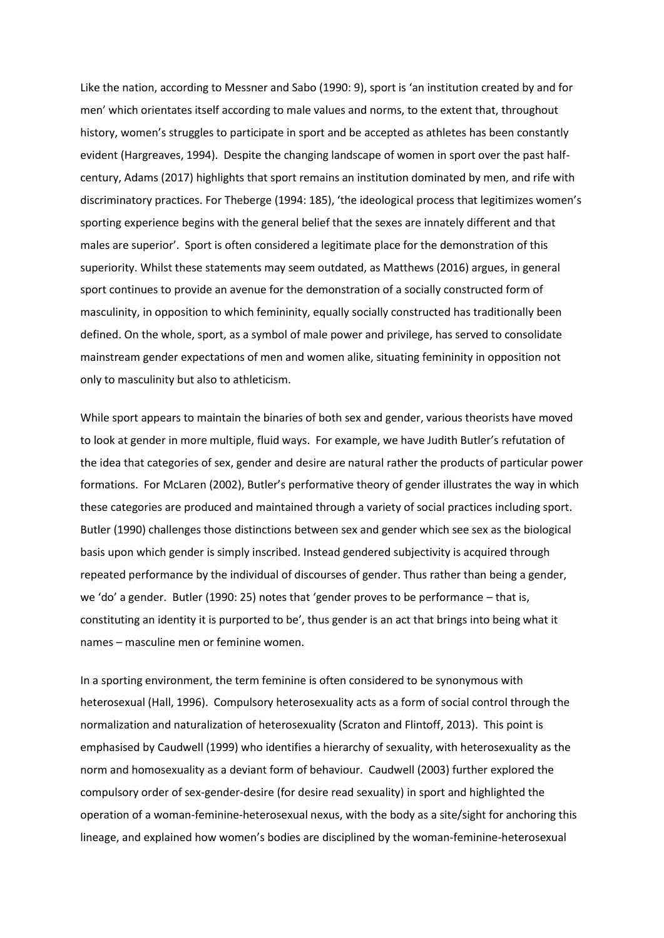Like the nation, according to Messner and Sabo (1990: 9), sport is 'an institution created by and for men' which orientates itself according to male values and norms, to the extent that, throughout history, women's struggles to participate in sport and be accepted as athletes has been constantly evident (Hargreaves, 1994). Despite the changing landscape of women in sport over the past halfcentury, Adams (2017) highlights that sport remains an institution dominated by men, and rife with discriminatory practices. For Theberge (1994: 185), 'the ideological process that legitimizes women's sporting experience begins with the general belief that the sexes are innately different and that males are superior'. Sport is often considered a legitimate place for the demonstration of this superiority. Whilst these statements may seem outdated, as Matthews (2016) argues, in general sport continues to provide an avenue for the demonstration of a socially constructed form of masculinity, in opposition to which femininity, equally socially constructed has traditionally been defined. On the whole, sport, as a symbol of male power and privilege, has served to consolidate mainstream gender expectations of men and women alike, situating femininity in opposition not only to masculinity but also to athleticism.

While sport appears to maintain the binaries of both sex and gender, various theorists have moved to look at gender in more multiple, fluid ways. For example, we have Judith Butler's refutation of the idea that categories of sex, gender and desire are natural rather the products of particular power formations. For McLaren (2002), Butler's performative theory of gender illustrates the way in which these categories are produced and maintained through a variety of social practices including sport. Butler (1990) challenges those distinctions between sex and gender which see sex as the biological basis upon which gender is simply inscribed. Instead gendered subjectivity is acquired through repeated performance by the individual of discourses of gender. Thus rather than being a gender, we 'do' a gender. Butler (1990: 25) notes that 'gender proves to be performance – that is, constituting an identity it is purported to be', thus gender is an act that brings into being what it names – masculine men or feminine women.

In a sporting environment, the term feminine is often considered to be synonymous with heterosexual (Hall, 1996). Compulsory heterosexuality acts as a form of social control through the normalization and naturalization of heterosexuality (Scraton and Flintoff, 2013). This point is emphasised by Caudwell (1999) who identifies a hierarchy of sexuality, with heterosexuality as the norm and homosexuality as a deviant form of behaviour. Caudwell (2003) further explored the compulsory order of sex-gender-desire (for desire read sexuality) in sport and highlighted the operation of a woman-feminine-heterosexual nexus, with the body as a site/sight for anchoring this lineage, and explained how women's bodies are disciplined by the woman-feminine-heterosexual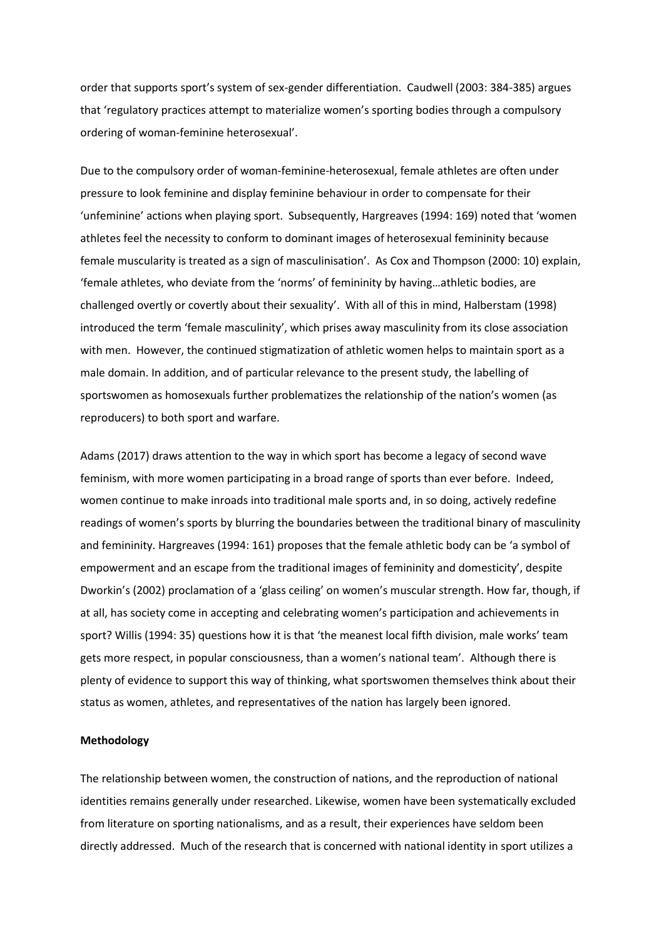order that supports sport's system of sex-gender differentiation. Caudwell (2003: 384-385) argues that 'regulatory practices attempt to materialize women's sporting bodies through a compulsory ordering of woman-feminine heterosexual'.

Due to the compulsory order of woman-feminine-heterosexual, female athletes are often under pressure to look feminine and display feminine behaviour in order to compensate for their 'unfeminine' actions when playing sport. Subsequently, Hargreaves (1994: 169) noted that 'women athletes feel the necessity to conform to dominant images of heterosexual femininity because female muscularity is treated as a sign of masculinisation'. As Cox and Thompson (2000: 10) explain, 'female athletes, who deviate from the 'norms' of femininity by having…athletic bodies, are challenged overtly or covertly about their sexuality'. With all of this in mind, Halberstam (1998) introduced the term 'female masculinity', which prises away masculinity from its close association with men. However, the continued stigmatization of athletic women helps to maintain sport as a male domain. In addition, and of particular relevance to the present study, the labelling of sportswomen as homosexuals further problematizes the relationship of the nation's women (as reproducers) to both sport and warfare.

Adams (2017) draws attention to the way in which sport has become a legacy of second wave feminism, with more women participating in a broad range of sports than ever before. Indeed, women continue to make inroads into traditional male sports and, in so doing, actively redefine readings of women's sports by blurring the boundaries between the traditional binary of masculinity and femininity. Hargreaves (1994: 161) proposes that the female athletic body can be 'a symbol of empowerment and an escape from the traditional images of femininity and domesticity', despite Dworkin's (2002) proclamation of a 'glass ceiling' on women's muscular strength. How far, though, if at all, has society come in accepting and celebrating women's participation and achievements in sport? Willis (1994: 35) questions how it is that 'the meanest local fifth division, male works' team gets more respect, in popular consciousness, than a women's national team'. Although there is plenty of evidence to support this way of thinking, what sportswomen themselves think about their status as women, athletes, and representatives of the nation has largely been ignored.

# **Methodology**

The relationship between women, the construction of nations, and the reproduction of national identities remains generally under researched. Likewise, women have been systematically excluded from literature on sporting nationalisms, and as a result, their experiences have seldom been directly addressed. Much of the research that is concerned with national identity in sport utilizes a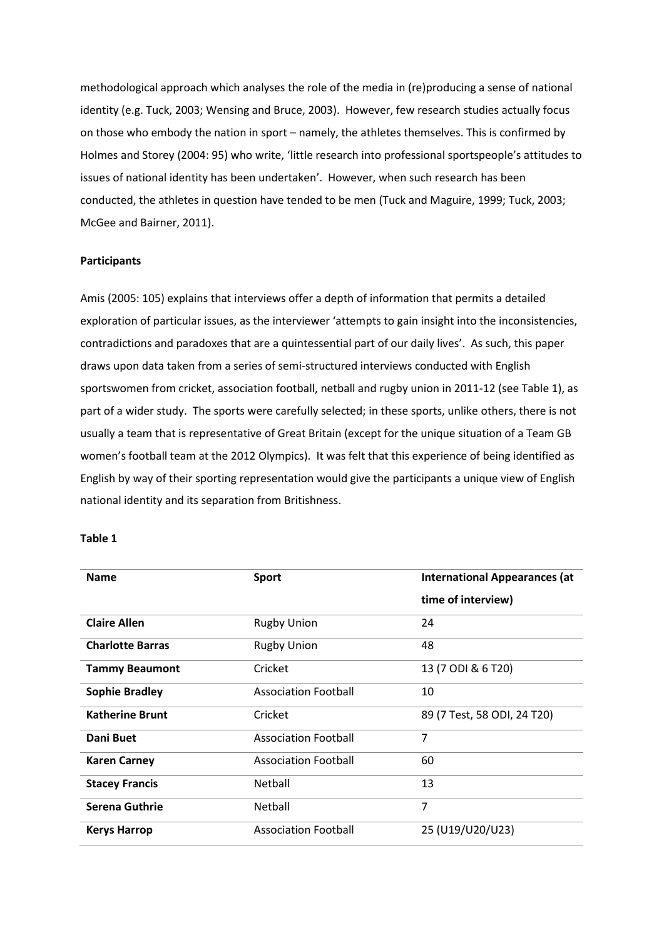methodological approach which analyses the role of the media in (re)producing a sense of national identity (e.g. Tuck, 2003; Wensing and Bruce, 2003). However, few research studies actually focus on those who embody the nation in sport – namely, the athletes themselves. This is confirmed by Holmes and Storey (2004: 95) who write, 'little research into professional sportspeople's attitudes to issues of national identity has been undertaken'. However, when such research has been conducted, the athletes in question have tended to be men (Tuck and Maguire, 1999; Tuck, 2003; McGee and Bairner, 2011).

# **Participants**

Amis (2005: 105) explains that interviews offer a depth of information that permits a detailed exploration of particular issues, as the interviewer 'attempts to gain insight into the inconsistencies, contradictions and paradoxes that are a quintessential part of our daily lives'. As such, this paper draws upon data taken from a series of semi-structured interviews conducted with English sportswomen from cricket, association football, netball and rugby union in 2011-12 (see Table 1), as part of a wider study. The sports were carefully selected; in these sports, unlike others, there is not usually a team that is representative of Great Britain (except for the unique situation of a Team GB women's football team at the 2012 Olympics). It was felt that this experience of being identified as English by way of their sporting representation would give the participants a unique view of English national identity and its separation from Britishness.

## **Table 1**

| <b>Name</b>             | <b>Sport</b>                | <b>International Appearances (at</b> |
|-------------------------|-----------------------------|--------------------------------------|
|                         |                             | time of interview)                   |
| <b>Claire Allen</b>     | <b>Rugby Union</b>          | 24                                   |
| <b>Charlotte Barras</b> | <b>Rugby Union</b>          | 48                                   |
| <b>Tammy Beaumont</b>   | Cricket                     | 13 (7 ODI & 6 T20)                   |
| <b>Sophie Bradley</b>   | <b>Association Football</b> | 10                                   |
| <b>Katherine Brunt</b>  | Cricket                     | 89 (7 Test, 58 ODI, 24 T20)          |
| Dani Buet               | <b>Association Football</b> | 7                                    |
| <b>Karen Carney</b>     | <b>Association Football</b> | 60                                   |
| <b>Stacey Francis</b>   | Netball                     | 13                                   |
| Serena Guthrie          | Netball                     | $\overline{7}$                       |
| <b>Kerys Harrop</b>     | <b>Association Football</b> | 25 (U19/U20/U23)                     |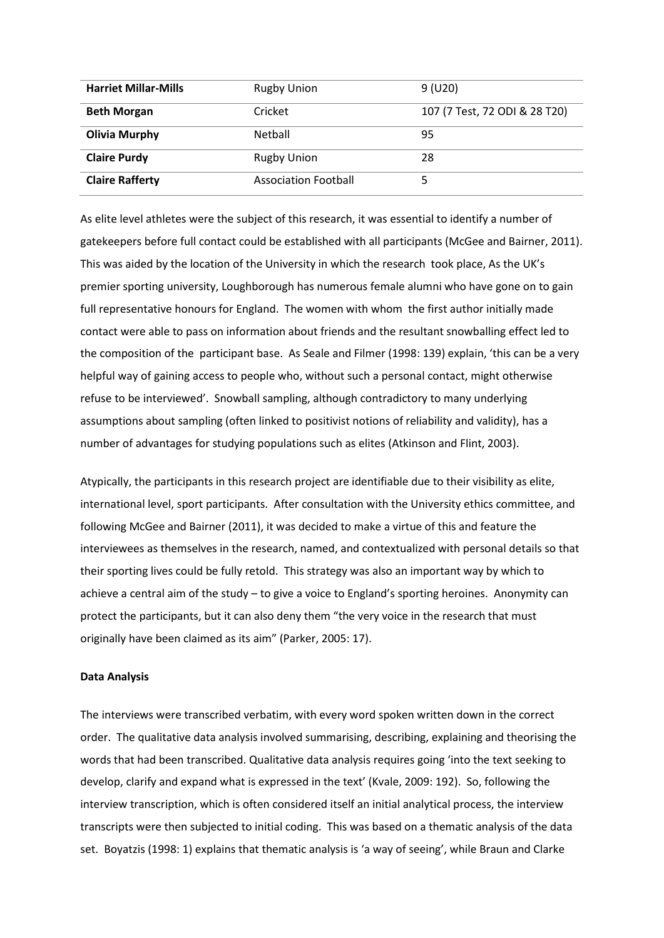| <b>Harriet Millar-Mills</b> | <b>Rugby Union</b>          | 9(020)                        |
|-----------------------------|-----------------------------|-------------------------------|
| <b>Beth Morgan</b>          | Cricket                     | 107 (7 Test, 72 ODI & 28 T20) |
| <b>Olivia Murphy</b>        | Netball                     | 95                            |
| <b>Claire Purdy</b>         | <b>Rugby Union</b>          | 28                            |
| <b>Claire Rafferty</b>      | <b>Association Football</b> |                               |

As elite level athletes were the subject of this research, it was essential to identify a number of gatekeepers before full contact could be established with all participants (McGee and Bairner, 2011). This was aided by the location of the University in which the research took place, As the UK's premier sporting university, Loughborough has numerous female alumni who have gone on to gain full representative honours for England. The women with whom the first author initially made contact were able to pass on information about friends and the resultant snowballing effect led to the composition of the participant base. As Seale and Filmer (1998: 139) explain, 'this can be a very helpful way of gaining access to people who, without such a personal contact, might otherwise refuse to be interviewed'. Snowball sampling, although contradictory to many underlying assumptions about sampling (often linked to positivist notions of reliability and validity), has a number of advantages for studying populations such as elites (Atkinson and Flint, 2003).

Atypically, the participants in this research project are identifiable due to their visibility as elite, international level, sport participants. After consultation with the University ethics committee, and following McGee and Bairner (2011), it was decided to make a virtue of this and feature the interviewees as themselves in the research, named, and contextualized with personal details so that their sporting lives could be fully retold. This strategy was also an important way by which to achieve a central aim of the study – to give a voice to England's sporting heroines. Anonymity can protect the participants, but it can also deny them "the very voice in the research that must originally have been claimed as its aim" (Parker, 2005: 17).

# **Data Analysis**

The interviews were transcribed verbatim, with every word spoken written down in the correct order. The qualitative data analysis involved summarising, describing, explaining and theorising the words that had been transcribed. Qualitative data analysis requires going 'into the text seeking to develop, clarify and expand what is expressed in the text' (Kvale, 2009: 192). So, following the interview transcription, which is often considered itself an initial analytical process, the interview transcripts were then subjected to initial coding. This was based on a thematic analysis of the data set. Boyatzis (1998: 1) explains that thematic analysis is 'a way of seeing', while Braun and Clarke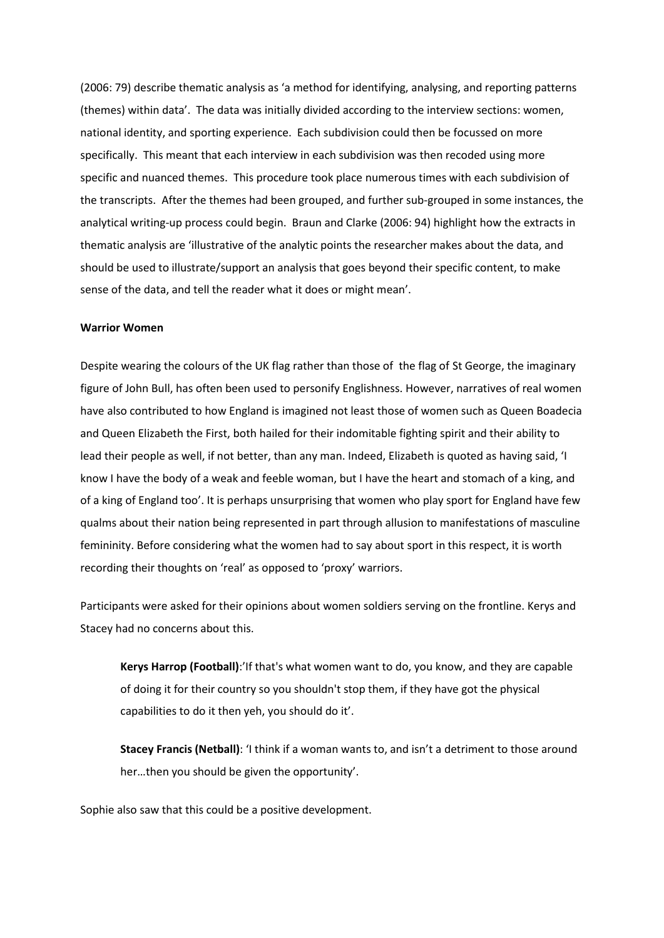(2006: 79) describe thematic analysis as 'a method for identifying, analysing, and reporting patterns (themes) within data'. The data was initially divided according to the interview sections: women, national identity, and sporting experience. Each subdivision could then be focussed on more specifically. This meant that each interview in each subdivision was then recoded using more specific and nuanced themes. This procedure took place numerous times with each subdivision of the transcripts. After the themes had been grouped, and further sub-grouped in some instances, the analytical writing-up process could begin. Braun and Clarke (2006: 94) highlight how the extracts in thematic analysis are 'illustrative of the analytic points the researcher makes about the data, and should be used to illustrate/support an analysis that goes beyond their specific content, to make sense of the data, and tell the reader what it does or might mean'.

#### **Warrior Women**

Despite wearing the colours of the UK flag rather than those of the flag of St George, the imaginary figure of John Bull, has often been used to personify Englishness. However, narratives of real women have also contributed to how England is imagined not least those of women such as Queen Boadecia and Queen Elizabeth the First, both hailed for their indomitable fighting spirit and their ability to lead their people as well, if not better, than any man. Indeed, Elizabeth is quoted as having said, 'I know I have the body of a weak and feeble woman, but I have the heart and stomach of a king, and of a king of England too'. It is perhaps unsurprising that women who play sport for England have few qualms about their nation being represented in part through allusion to manifestations of masculine femininity. Before considering what the women had to say about sport in this respect, it is worth recording their thoughts on 'real' as opposed to 'proxy' warriors.

Participants were asked for their opinions about women soldiers serving on the frontline. Kerys and Stacey had no concerns about this.

**Kerys Harrop (Football)**:'If that's what women want to do, you know, and they are capable of doing it for their country so you shouldn't stop them, if they have got the physical capabilities to do it then yeh, you should do it'.

**Stacey Francis (Netball)**: 'I think if a woman wants to, and isn't a detriment to those around her…then you should be given the opportunity'.

Sophie also saw that this could be a positive development.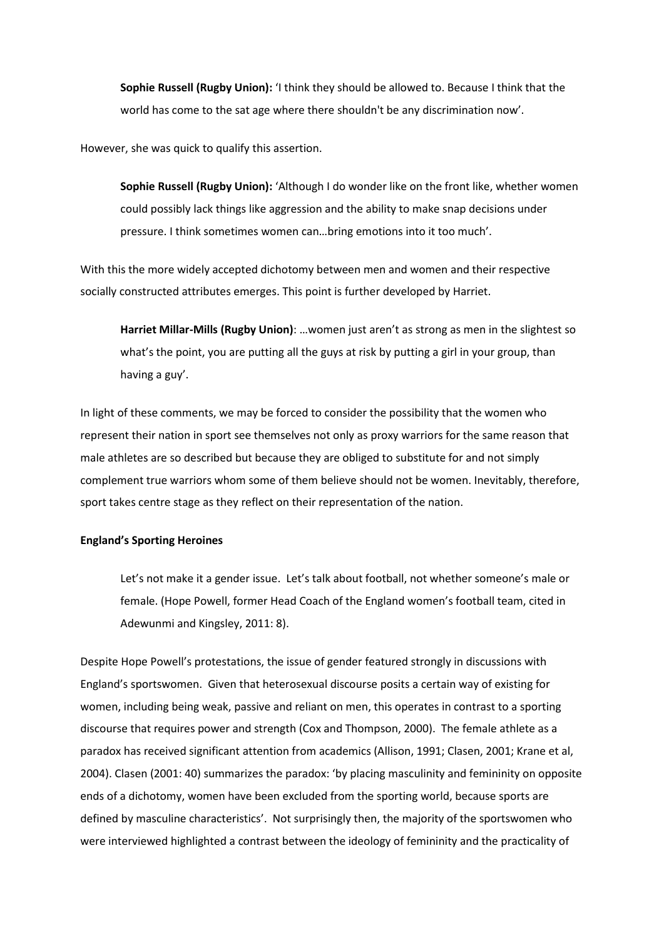**Sophie Russell (Rugby Union):** 'I think they should be allowed to. Because I think that the world has come to the sat age where there shouldn't be any discrimination now'.

However, she was quick to qualify this assertion.

**Sophie Russell (Rugby Union):** 'Although I do wonder like on the front like, whether women could possibly lack things like aggression and the ability to make snap decisions under pressure. I think sometimes women can…bring emotions into it too much'.

With this the more widely accepted dichotomy between men and women and their respective socially constructed attributes emerges. This point is further developed by Harriet.

**Harriet Millar-Mills (Rugby Union)**: …women just aren't as strong as men in the slightest so what's the point, you are putting all the guys at risk by putting a girl in your group, than having a guy'.

In light of these comments, we may be forced to consider the possibility that the women who represent their nation in sport see themselves not only as proxy warriors for the same reason that male athletes are so described but because they are obliged to substitute for and not simply complement true warriors whom some of them believe should not be women. Inevitably, therefore, sport takes centre stage as they reflect on their representation of the nation.

# **England's Sporting Heroines**

Let's not make it a gender issue. Let's talk about football, not whether someone's male or female. (Hope Powell, former Head Coach of the England women's football team, cited in Adewunmi and Kingsley, 2011: 8).

Despite Hope Powell's protestations, the issue of gender featured strongly in discussions with England's sportswomen. Given that heterosexual discourse posits a certain way of existing for women, including being weak, passive and reliant on men, this operates in contrast to a sporting discourse that requires power and strength (Cox and Thompson, 2000). The female athlete as a paradox has received significant attention from academics (Allison, 1991; Clasen, 2001; Krane et al, 2004). Clasen (2001: 40) summarizes the paradox: 'by placing masculinity and femininity on opposite ends of a dichotomy, women have been excluded from the sporting world, because sports are defined by masculine characteristics'. Not surprisingly then, the majority of the sportswomen who were interviewed highlighted a contrast between the ideology of femininity and the practicality of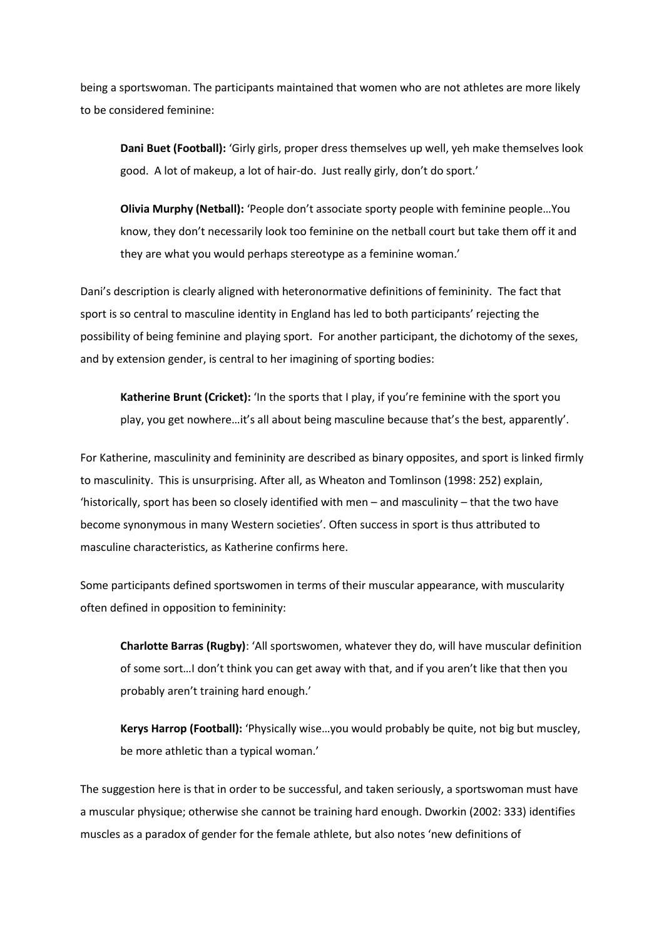being a sportswoman. The participants maintained that women who are not athletes are more likely to be considered feminine:

**Dani Buet (Football):** 'Girly girls, proper dress themselves up well, yeh make themselves look good. A lot of makeup, a lot of hair-do. Just really girly, don't do sport.'

**Olivia Murphy (Netball):** 'People don't associate sporty people with feminine people…You know, they don't necessarily look too feminine on the netball court but take them off it and they are what you would perhaps stereotype as a feminine woman.'

Dani's description is clearly aligned with heteronormative definitions of femininity. The fact that sport is so central to masculine identity in England has led to both participants' rejecting the possibility of being feminine and playing sport. For another participant, the dichotomy of the sexes, and by extension gender, is central to her imagining of sporting bodies:

**Katherine Brunt (Cricket):** 'In the sports that I play, if you're feminine with the sport you play, you get nowhere…it's all about being masculine because that's the best, apparently'.

For Katherine, masculinity and femininity are described as binary opposites, and sport is linked firmly to masculinity. This is unsurprising. After all, as Wheaton and Tomlinson (1998: 252) explain, 'historically, sport has been so closely identified with men – and masculinity – that the two have become synonymous in many Western societies'. Often success in sport is thus attributed to masculine characteristics, as Katherine confirms here.

Some participants defined sportswomen in terms of their muscular appearance, with muscularity often defined in opposition to femininity:

**Charlotte Barras (Rugby)**: 'All sportswomen, whatever they do, will have muscular definition of some sort…I don't think you can get away with that, and if you aren't like that then you probably aren't training hard enough.'

**Kerys Harrop (Football):** 'Physically wise…you would probably be quite, not big but muscley, be more athletic than a typical woman.'

The suggestion here is that in order to be successful, and taken seriously, a sportswoman must have a muscular physique; otherwise she cannot be training hard enough. Dworkin (2002: 333) identifies muscles as a paradox of gender for the female athlete, but also notes 'new definitions of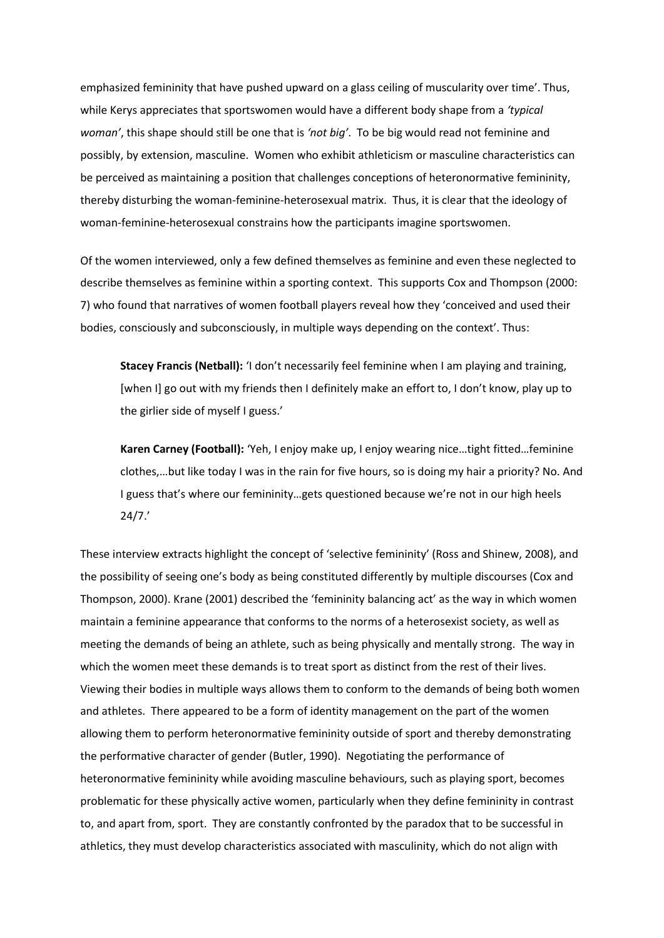emphasized femininity that have pushed upward on a glass ceiling of muscularity over time'. Thus, while Kerys appreciates that sportswomen would have a different body shape from a *'typical woman'*, this shape should still be one that is *'not big'*. To be big would read not feminine and possibly, by extension, masculine. Women who exhibit athleticism or masculine characteristics can be perceived as maintaining a position that challenges conceptions of heteronormative femininity, thereby disturbing the woman-feminine-heterosexual matrix. Thus, it is clear that the ideology of woman-feminine-heterosexual constrains how the participants imagine sportswomen.

Of the women interviewed, only a few defined themselves as feminine and even these neglected to describe themselves as feminine within a sporting context. This supports Cox and Thompson (2000: 7) who found that narratives of women football players reveal how they 'conceived and used their bodies, consciously and subconsciously, in multiple ways depending on the context'. Thus:

**Stacey Francis (Netball):** 'I don't necessarily feel feminine when I am playing and training, [when I] go out with my friends then I definitely make an effort to, I don't know, play up to the girlier side of myself I guess.'

**Karen Carney (Football):** 'Yeh, I enjoy make up, I enjoy wearing nice…tight fitted…feminine clothes,…but like today I was in the rain for five hours, so is doing my hair a priority? No. And I guess that's where our femininity…gets questioned because we're not in our high heels 24/7.'

These interview extracts highlight the concept of 'selective femininity' (Ross and Shinew, 2008), and the possibility of seeing one's body as being constituted differently by multiple discourses (Cox and Thompson, 2000). Krane (2001) described the 'femininity balancing act' as the way in which women maintain a feminine appearance that conforms to the norms of a heterosexist society, as well as meeting the demands of being an athlete, such as being physically and mentally strong. The way in which the women meet these demands is to treat sport as distinct from the rest of their lives. Viewing their bodies in multiple ways allows them to conform to the demands of being both women and athletes. There appeared to be a form of identity management on the part of the women allowing them to perform heteronormative femininity outside of sport and thereby demonstrating the performative character of gender (Butler, 1990). Negotiating the performance of heteronormative femininity while avoiding masculine behaviours, such as playing sport, becomes problematic for these physically active women, particularly when they define femininity in contrast to, and apart from, sport. They are constantly confronted by the paradox that to be successful in athletics, they must develop characteristics associated with masculinity, which do not align with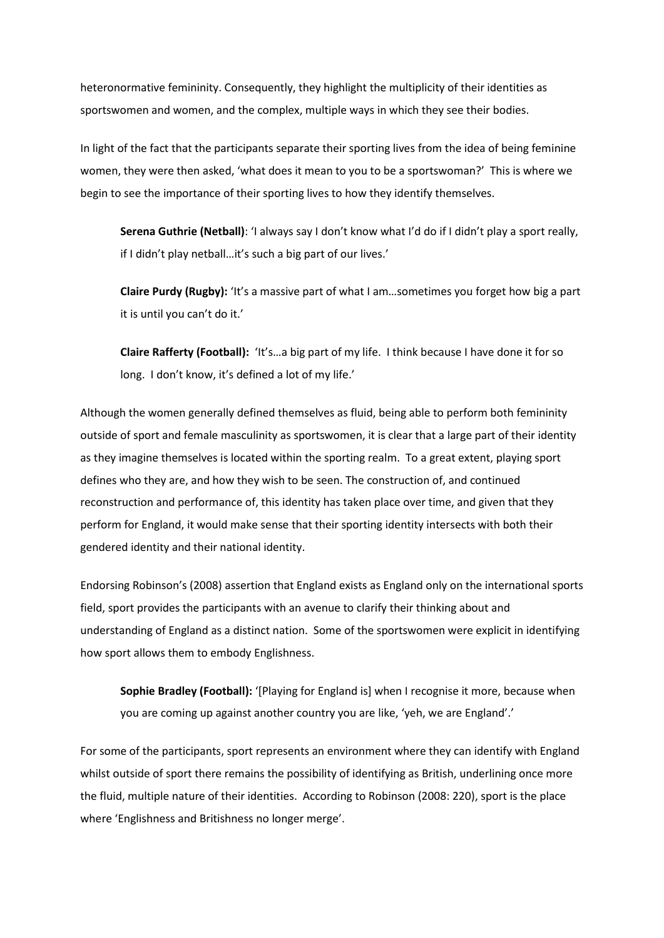heteronormative femininity. Consequently, they highlight the multiplicity of their identities as sportswomen and women, and the complex, multiple ways in which they see their bodies.

In light of the fact that the participants separate their sporting lives from the idea of being feminine women, they were then asked, 'what does it mean to you to be a sportswoman?' This is where we begin to see the importance of their sporting lives to how they identify themselves.

**Serena Guthrie (Netball)**: 'I always say I don't know what I'd do if I didn't play a sport really, if I didn't play netball…it's such a big part of our lives.'

**Claire Purdy (Rugby):** 'It's a massive part of what I am…sometimes you forget how big a part it is until you can't do it.'

**Claire Rafferty (Football):** 'It's…a big part of my life. I think because I have done it for so long. I don't know, it's defined a lot of my life.'

Although the women generally defined themselves as fluid, being able to perform both femininity outside of sport and female masculinity as sportswomen, it is clear that a large part of their identity as they imagine themselves is located within the sporting realm. To a great extent, playing sport defines who they are, and how they wish to be seen. The construction of, and continued reconstruction and performance of, this identity has taken place over time, and given that they perform for England, it would make sense that their sporting identity intersects with both their gendered identity and their national identity.

Endorsing Robinson's (2008) assertion that England exists as England only on the international sports field, sport provides the participants with an avenue to clarify their thinking about and understanding of England as a distinct nation. Some of the sportswomen were explicit in identifying how sport allows them to embody Englishness.

**Sophie Bradley (Football):** '[Playing for England is] when I recognise it more, because when you are coming up against another country you are like, 'yeh, we are England'.'

For some of the participants, sport represents an environment where they can identify with England whilst outside of sport there remains the possibility of identifying as British, underlining once more the fluid, multiple nature of their identities. According to Robinson (2008: 220), sport is the place where 'Englishness and Britishness no longer merge'.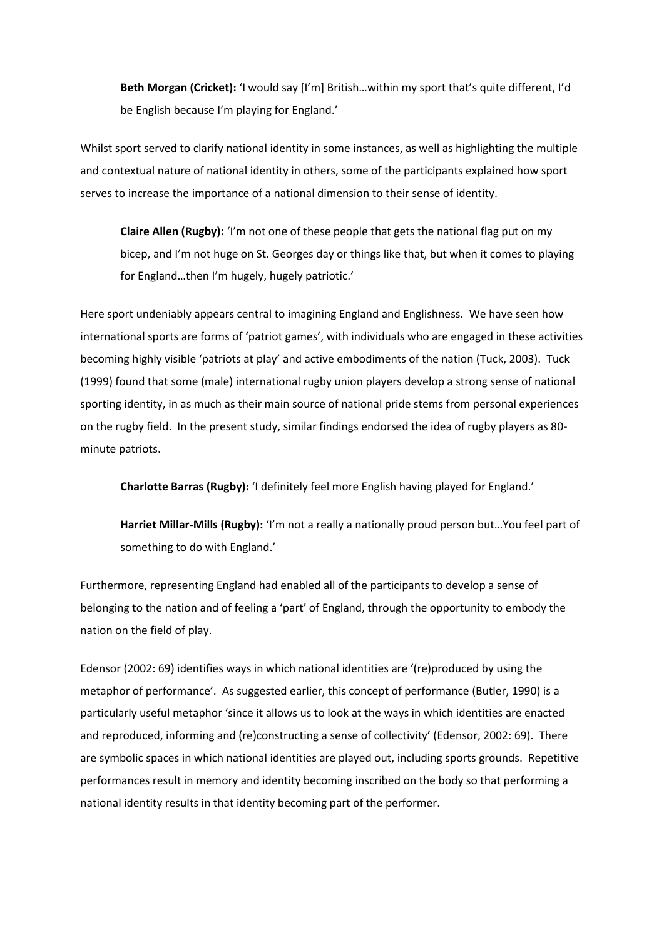**Beth Morgan (Cricket):** 'I would say [I'm] British…within my sport that's quite different, I'd be English because I'm playing for England.'

Whilst sport served to clarify national identity in some instances, as well as highlighting the multiple and contextual nature of national identity in others, some of the participants explained how sport serves to increase the importance of a national dimension to their sense of identity.

**Claire Allen (Rugby):** 'I'm not one of these people that gets the national flag put on my bicep, and I'm not huge on St. Georges day or things like that, but when it comes to playing for England…then I'm hugely, hugely patriotic.'

Here sport undeniably appears central to imagining England and Englishness. We have seen how international sports are forms of 'patriot games', with individuals who are engaged in these activities becoming highly visible 'patriots at play' and active embodiments of the nation (Tuck, 2003). Tuck (1999) found that some (male) international rugby union players develop a strong sense of national sporting identity, in as much as their main source of national pride stems from personal experiences on the rugby field. In the present study, similar findings endorsed the idea of rugby players as 80 minute patriots.

**Charlotte Barras (Rugby):** 'I definitely feel more English having played for England.'

**Harriet Millar-Mills (Rugby):** 'I'm not a really a nationally proud person but…You feel part of something to do with England.'

Furthermore, representing England had enabled all of the participants to develop a sense of belonging to the nation and of feeling a 'part' of England, through the opportunity to embody the nation on the field of play.

Edensor (2002: 69) identifies ways in which national identities are '(re)produced by using the metaphor of performance'. As suggested earlier, this concept of performance (Butler, 1990) is a particularly useful metaphor 'since it allows us to look at the ways in which identities are enacted and reproduced, informing and (re)constructing a sense of collectivity' (Edensor, 2002: 69). There are symbolic spaces in which national identities are played out, including sports grounds. Repetitive performances result in memory and identity becoming inscribed on the body so that performing a national identity results in that identity becoming part of the performer.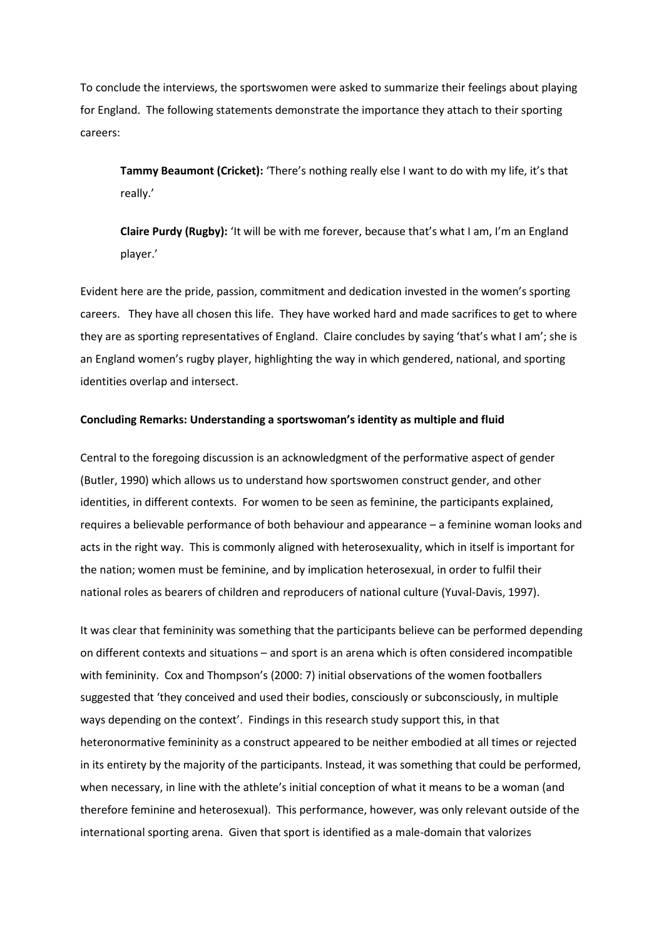To conclude the interviews, the sportswomen were asked to summarize their feelings about playing for England. The following statements demonstrate the importance they attach to their sporting careers:

**Tammy Beaumont (Cricket):** 'There's nothing really else I want to do with my life, it's that really.'

**Claire Purdy (Rugby):** 'It will be with me forever, because that's what I am, I'm an England player.'

Evident here are the pride, passion, commitment and dedication invested in the women's sporting careers. They have all chosen this life. They have worked hard and made sacrifices to get to where they are as sporting representatives of England. Claire concludes by saying 'that's what I am'; she is an England women's rugby player, highlighting the way in which gendered, national, and sporting identities overlap and intersect.

# **Concluding Remarks: Understanding a sportswoman's identity as multiple and fluid**

Central to the foregoing discussion is an acknowledgment of the performative aspect of gender (Butler, 1990) which allows us to understand how sportswomen construct gender, and other identities, in different contexts. For women to be seen as feminine, the participants explained, requires a believable performance of both behaviour and appearance – a feminine woman looks and acts in the right way. This is commonly aligned with heterosexuality, which in itself is important for the nation; women must be feminine, and by implication heterosexual, in order to fulfil their national roles as bearers of children and reproducers of national culture (Yuval-Davis, 1997).

It was clear that femininity was something that the participants believe can be performed depending on different contexts and situations – and sport is an arena which is often considered incompatible with femininity. Cox and Thompson's (2000: 7) initial observations of the women footballers suggested that 'they conceived and used their bodies, consciously or subconsciously, in multiple ways depending on the context'. Findings in this research study support this, in that heteronormative femininity as a construct appeared to be neither embodied at all times or rejected in its entirety by the majority of the participants. Instead, it was something that could be performed, when necessary, in line with the athlete's initial conception of what it means to be a woman (and therefore feminine and heterosexual). This performance, however, was only relevant outside of the international sporting arena. Given that sport is identified as a male-domain that valorizes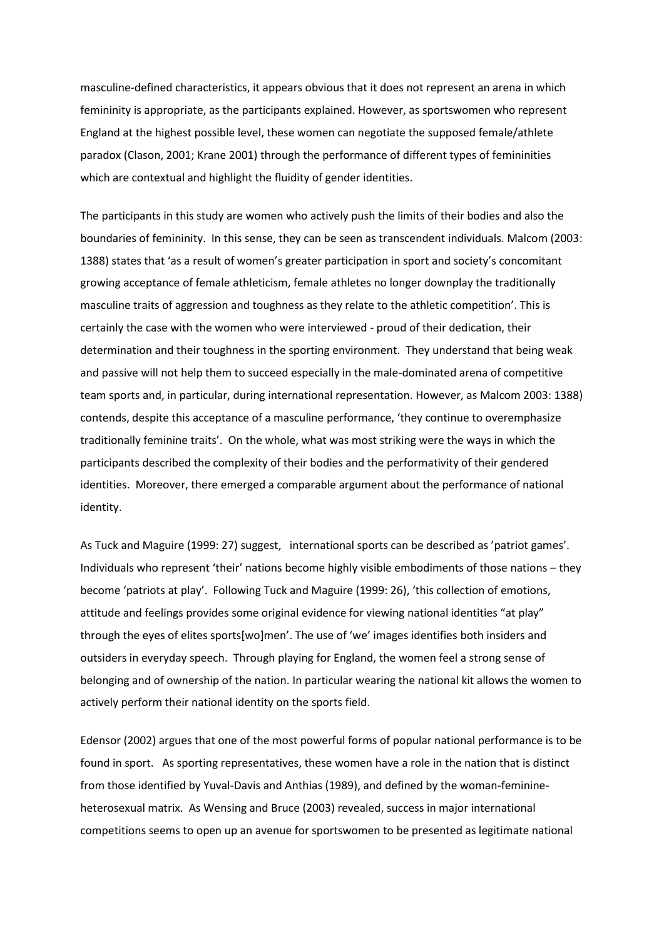masculine-defined characteristics, it appears obvious that it does not represent an arena in which femininity is appropriate, as the participants explained. However, as sportswomen who represent England at the highest possible level, these women can negotiate the supposed female/athlete paradox (Clason, 2001; Krane 2001) through the performance of different types of femininities which are contextual and highlight the fluidity of gender identities.

The participants in this study are women who actively push the limits of their bodies and also the boundaries of femininity. In this sense, they can be seen as transcendent individuals. Malcom (2003: 1388) states that 'as a result of women's greater participation in sport and society's concomitant growing acceptance of female athleticism, female athletes no longer downplay the traditionally masculine traits of aggression and toughness as they relate to the athletic competition'. This is certainly the case with the women who were interviewed - proud of their dedication, their determination and their toughness in the sporting environment. They understand that being weak and passive will not help them to succeed especially in the male-dominated arena of competitive team sports and, in particular, during international representation. However, as Malcom 2003: 1388) contends, despite this acceptance of a masculine performance, 'they continue to overemphasize traditionally feminine traits'. On the whole, what was most striking were the ways in which the participants described the complexity of their bodies and the performativity of their gendered identities. Moreover, there emerged a comparable argument about the performance of national identity.

As Tuck and Maguire (1999: 27) suggest, international sports can be described as 'patriot games'. Individuals who represent 'their' nations become highly visible embodiments of those nations – they become 'patriots at play'. Following Tuck and Maguire (1999: 26), 'this collection of emotions, attitude and feelings provides some original evidence for viewing national identities "at play" through the eyes of elites sports[wo]men'. The use of 'we' images identifies both insiders and outsiders in everyday speech. Through playing for England, the women feel a strong sense of belonging and of ownership of the nation. In particular wearing the national kit allows the women to actively perform their national identity on the sports field.

Edensor (2002) argues that one of the most powerful forms of popular national performance is to be found in sport. As sporting representatives, these women have a role in the nation that is distinct from those identified by Yuval-Davis and Anthias (1989), and defined by the woman-feminineheterosexual matrix. As Wensing and Bruce (2003) revealed, success in major international competitions seems to open up an avenue for sportswomen to be presented as legitimate national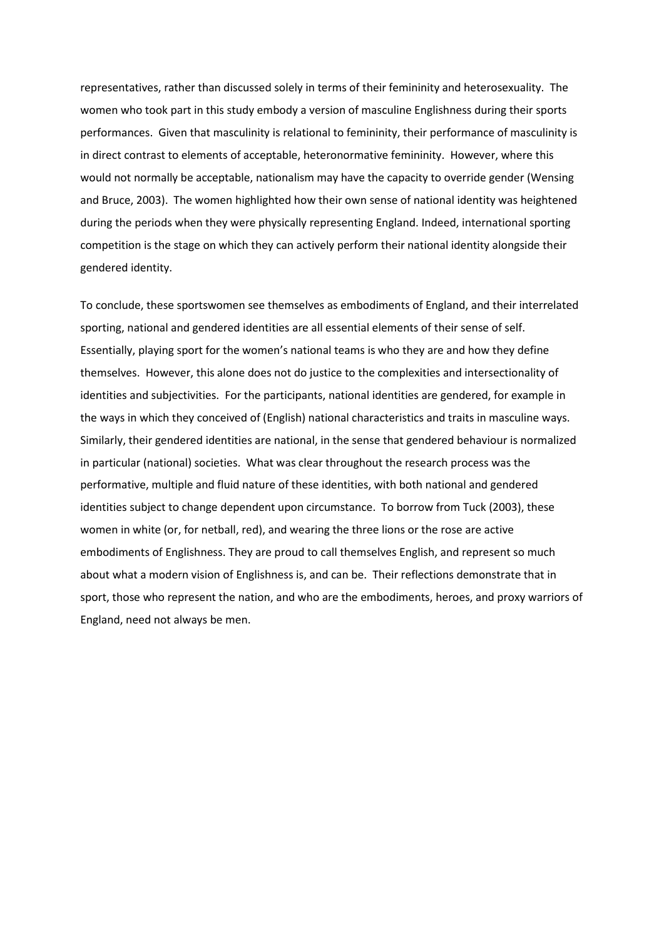representatives, rather than discussed solely in terms of their femininity and heterosexuality. The women who took part in this study embody a version of masculine Englishness during their sports performances. Given that masculinity is relational to femininity, their performance of masculinity is in direct contrast to elements of acceptable, heteronormative femininity. However, where this would not normally be acceptable, nationalism may have the capacity to override gender (Wensing and Bruce, 2003). The women highlighted how their own sense of national identity was heightened during the periods when they were physically representing England. Indeed, international sporting competition is the stage on which they can actively perform their national identity alongside their gendered identity.

To conclude, these sportswomen see themselves as embodiments of England, and their interrelated sporting, national and gendered identities are all essential elements of their sense of self. Essentially, playing sport for the women's national teams is who they are and how they define themselves. However, this alone does not do justice to the complexities and intersectionality of identities and subjectivities. For the participants, national identities are gendered, for example in the ways in which they conceived of (English) national characteristics and traits in masculine ways. Similarly, their gendered identities are national, in the sense that gendered behaviour is normalized in particular (national) societies. What was clear throughout the research process was the performative, multiple and fluid nature of these identities, with both national and gendered identities subject to change dependent upon circumstance. To borrow from Tuck (2003), these women in white (or, for netball, red), and wearing the three lions or the rose are active embodiments of Englishness. They are proud to call themselves English, and represent so much about what a modern vision of Englishness is, and can be. Their reflections demonstrate that in sport, those who represent the nation, and who are the embodiments, heroes, and proxy warriors of England, need not always be men.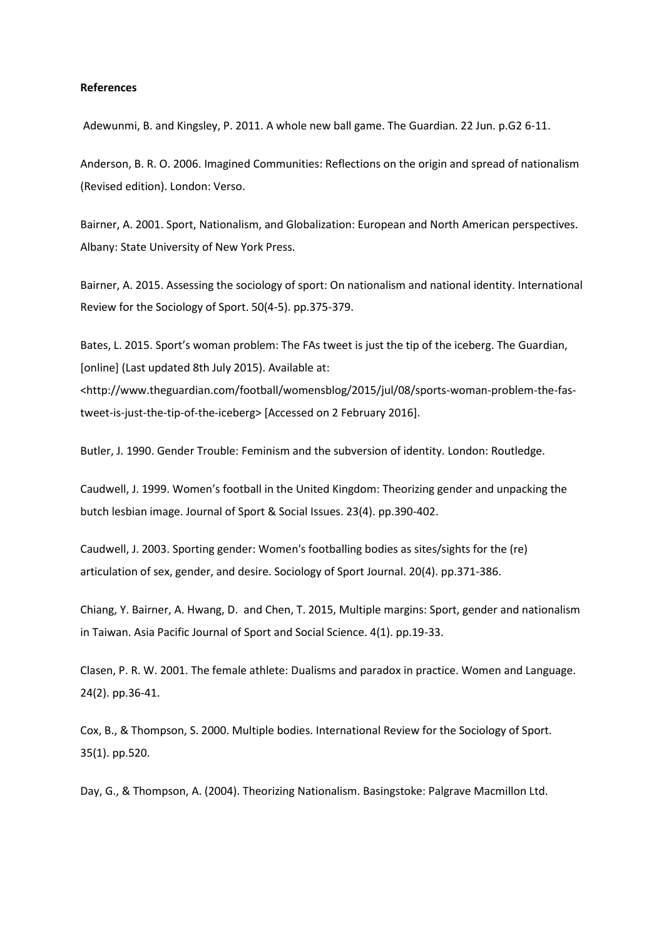#### **References**

Adewunmi, B. and Kingsley, P. 2011. A whole new ball game. The Guardian. 22 Jun. p.G2 6-11.

Anderson, B. R. O. 2006. Imagined Communities: Reflections on the origin and spread of nationalism (Revised edition). London: Verso.

Bairner, A. 2001. Sport, Nationalism, and Globalization: European and North American perspectives. Albany: State University of New York Press.

Bairner, A. 2015. Assessing the sociology of sport: On nationalism and national identity. International Review for the Sociology of Sport. 50(4-5). pp.375-379.

Bates, L. 2015. Sport's woman problem: The FAs tweet is just the tip of the iceberg. The Guardian, [online] (Last updated 8th July 2015). Available at:

<http://www.theguardian.com/football/womensblog/2015/jul/08/sports-woman-problem-the-fastweet-is-just-the-tip-of-the-iceberg> [Accessed on 2 February 2016].

Butler, J. 1990. Gender Trouble: Feminism and the subversion of identity. London: Routledge.

Caudwell, J. 1999. Women's football in the United Kingdom: Theorizing gender and unpacking the butch lesbian image. Journal of Sport & Social Issues. 23(4). pp.390-402.

Caudwell, J. 2003. Sporting gender: Women's footballing bodies as sites/sights for the (re) articulation of sex, gender, and desire. Sociology of Sport Journal. 20(4). pp.371-386.

Chiang, Y. Bairner, A. Hwang, D. and Chen, T. 2015, Multiple margins: Sport, gender and nationalism in Taiwan. Asia Pacific Journal of Sport and Social Science. 4(1). pp.19-33.

Clasen, P. R. W. 2001. The female athlete: Dualisms and paradox in practice. Women and Language. 24(2). pp.36-41.

Cox, B., & Thompson, S. 2000. Multiple bodies. International Review for the Sociology of Sport. 35(1). pp.520.

Day, G., & Thompson, A. (2004). Theorizing Nationalism. Basingstoke: Palgrave Macmillon Ltd.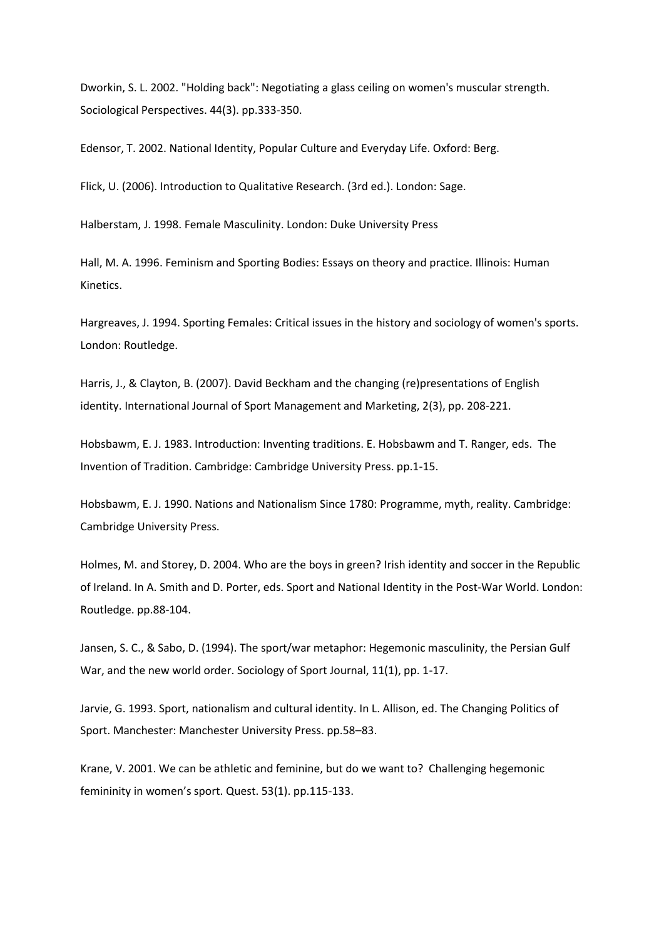Dworkin, S. L. 2002. "Holding back": Negotiating a glass ceiling on women's muscular strength. Sociological Perspectives. 44(3). pp.333-350.

Edensor, T. 2002. National Identity, Popular Culture and Everyday Life. Oxford: Berg.

Flick, U. (2006). Introduction to Qualitative Research. (3rd ed.). London: Sage.

Halberstam, J. 1998. Female Masculinity. London: Duke University Press

Hall, M. A. 1996. Feminism and Sporting Bodies: Essays on theory and practice. Illinois: Human Kinetics.

Hargreaves, J. 1994. Sporting Females: Critical issues in the history and sociology of women's sports. London: Routledge.

Harris, J., & Clayton, B. (2007). David Beckham and the changing (re)presentations of English identity. International Journal of Sport Management and Marketing, 2(3), pp. 208-221.

Hobsbawm, E. J. 1983. Introduction: Inventing traditions. E. Hobsbawm and T. Ranger, eds. The Invention of Tradition. Cambridge: Cambridge University Press. pp.1-15.

Hobsbawm, E. J. 1990. Nations and Nationalism Since 1780: Programme, myth, reality. Cambridge: Cambridge University Press.

Holmes, M. and Storey, D. 2004. Who are the boys in green? Irish identity and soccer in the Republic of Ireland. In A. Smith and D. Porter, eds. Sport and National Identity in the Post-War World. London: Routledge. pp.88-104.

Jansen, S. C., & Sabo, D. (1994). The sport/war metaphor: Hegemonic masculinity, the Persian Gulf War, and the new world order. Sociology of Sport Journal, 11(1), pp. 1-17.

Jarvie, G. 1993. Sport, nationalism and cultural identity. In L. Allison, ed. The Changing Politics of Sport. Manchester: Manchester University Press. pp.58–83.

Krane, V. 2001. We can be athletic and feminine, but do we want to? Challenging hegemonic femininity in women's sport. Quest. 53(1). pp.115-133.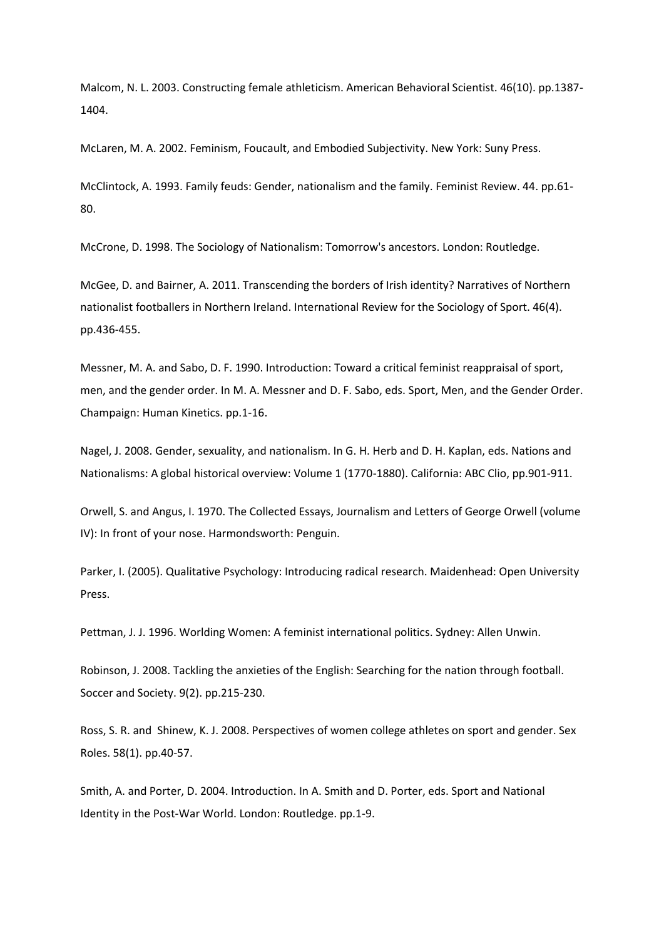Malcom, N. L. 2003. Constructing female athleticism. American Behavioral Scientist. 46(10). pp.1387- 1404.

McLaren, M. A. 2002. Feminism, Foucault, and Embodied Subjectivity. New York: Suny Press.

McClintock, A. 1993. Family feuds: Gender, nationalism and the family. Feminist Review. 44. pp.61- 80.

McCrone, D. 1998. The Sociology of Nationalism: Tomorrow's ancestors. London: Routledge.

McGee, D. and Bairner, A. 2011. Transcending the borders of Irish identity? Narratives of Northern nationalist footballers in Northern Ireland. International Review for the Sociology of Sport. 46(4). pp.436-455.

Messner, M. A. and Sabo, D. F. 1990. Introduction: Toward a critical feminist reappraisal of sport, men, and the gender order. In M. A. Messner and D. F. Sabo, eds. Sport, Men, and the Gender Order. Champaign: Human Kinetics. pp.1-16.

Nagel, J. 2008. Gender, sexuality, and nationalism. In G. H. Herb and D. H. Kaplan, eds. Nations and Nationalisms: A global historical overview: Volume 1 (1770-1880). California: ABC Clio, pp.901-911.

Orwell, S. and Angus, I. 1970. The Collected Essays, Journalism and Letters of George Orwell (volume IV): In front of your nose. Harmondsworth: Penguin.

Parker, I. (2005). Qualitative Psychology: Introducing radical research. Maidenhead: Open University Press.

Pettman, J. J. 1996. Worlding Women: A feminist international politics. Sydney: Allen Unwin.

Robinson, J. 2008. Tackling the anxieties of the English: Searching for the nation through football. Soccer and Society. 9(2). pp.215-230.

Ross, S. R. and Shinew, K. J. 2008. Perspectives of women college athletes on sport and gender. Sex Roles. 58(1). pp.40-57.

Smith, A. and Porter, D. 2004. Introduction. In A. Smith and D. Porter, eds. Sport and National Identity in the Post-War World. London: Routledge. pp.1-9.